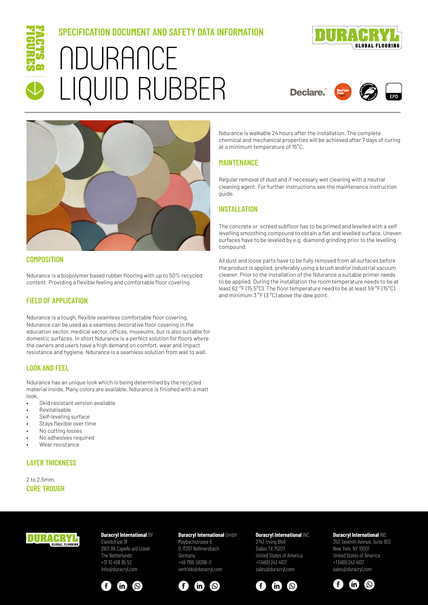

# **SPECIFICATION DOCUMENT AND SAFETY DATA INFORMATION** NDURANCE LIQUID RUBBER



**Declare** 





## **COMPOSITION**

Ndurance is a biopolymer based rubber flooring with up to 50% recycled content. Providing a flexible feeling and comfortable floor covering.

#### **FIELD OF APPLICATION**

Ndurance is a tough, flexible seamless comfortable floor covering. Ndurance can be used as a seamless decorative floor covering in the education sector, medical sector, offices, museums, but is also suitable for domestic surfaces. In short Ndurance is a perfect solution for floors where the owners and users have a high demand on comfort, wear and impact resistance and hygiene. Ndurance is a seamless solution from wall to wall.

## **LOOK AND FEEL**

Ndurance has an unique look which is being determined by the recycled material inside. Many colors are available. Ndurance is finished with a matt look.

- Skid resistant version available
- Revitalisable
- Self-leveling surface
- Stays flexible over time
- No cutting losses
- No adhesives required
- Wear resistance

## **LAYER THICKNESS**

2 to 2,5mm. **CURE TROUGH** Ndurance is walkable 24 hours after the installation. The complete chemical and mechanical properties will be achieved after 7 days of curing at a minimum temperature of 15°C.

## **MAINTENANCE**

Regular removal of dust and if necessary wet cleaning with a neutral cleaning agent. For further instructions see the maintenance instruction guide.

## **INSTALLATION**

The concrete or screed subfloor has to be primed and levelled with a self levelling smoothing compound to obtain a flat and levelled surface. Uneven surfaces have to be leveled by e.g. diamond grinding prior to the levelling compound.

All dust and loose parts have to be fully removed from all surfaces before the product is applied, preferably using a brush and/or industrial vacuum cleaner. Prior to the installation of the Ndurance a suitable primer needs to be applied. During the installation the room temperature needs to be at least 62 °F (15,5°C). The floor temperature need to be at least 59 °F (15°C) and minimum 3 °F (3 °C) above the dew point.

## **DURACRYL**

## **Duracryl International BV**

Elandstraat 91 2901 BK Capelle a/d IJssel The Netherlands +31 10 458 85 52 info@duracryl.com



## **Duracryl International** GmbH

Maybachstrasse 6 D 71397 Nellmersbach Germany +49 7195 59296–0 vertrieb@duracryl.com



#### **Duracryl International** INC 2743 Irving Blvd Dallas TX 75207

United States of America +1 (469) 243 4107 sales@duracryl.com



#### **Duracryl International** INC 350 Seventh Avenue, Suite 903

New York, NY 10001 United States of America +1 (469) 243 4107 sales@duracryl.com